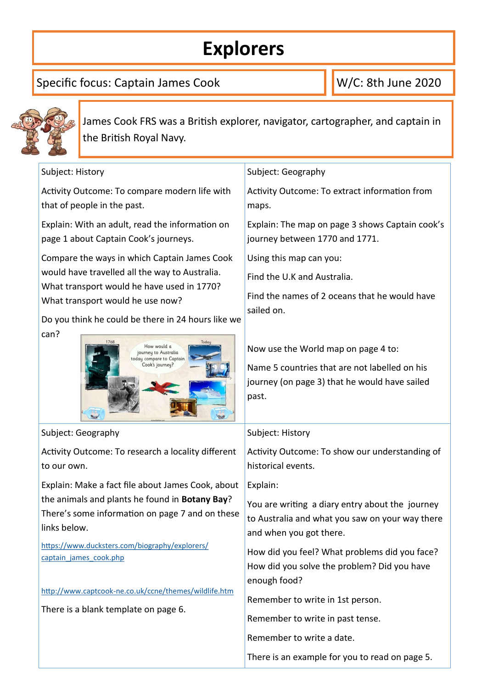## **Explorers**

#### Specific focus: Captain James Cook

W/C: 8th June 2020



James Cook FRS was a British explorer, navigator, cartographer, and captain in the British Royal Navy.

maps.

sailed on.

Subject: Geography

Activity Outcome: To extract information from

Explain: The map on page 3 shows Captain cook's

Find the names of 2 oceans that he would have

Name 5 countries that are not labelled on his journey (on page 3) that he would have sailed

Now use the World map on page 4 to:

journey between 1770 and 1771.

Using this map can you:

Find the U.K and Australia.

#### Subject: History

Activity Outcome: To compare modern life with that of people in the past.

Explain: With an adult, read the information on page 1 about Captain Cook's journeys.

Compare the ways in which Captain James Cook would have travelled all the way to Australia. What transport would he have used in 1770? What transport would he use now?

Do you think he could be there in 24 hours like we can?

There is a blank template on page 6.



#### past. Subject: Geography Activity Outcome: To research a locality different to our own. Explain: Make a fact file about James Cook, about the animals and plants he found in **Botany Bay**? There's some information on page 7 and on these links below. [https://www.ducksters.com/biography/explorers/](https://www.ducksters.com/biography/explorers/captain_james_cook.php) [captain\\_james\\_cook.php](https://www.ducksters.com/biography/explorers/captain_james_cook.php) http://www.captcook-[ne.co.uk/ccne/themes/wildlife.htm](http://www.captcook-ne.co.uk/ccne/themes/wildlife.htm) Subject: History Activity Outcome: To show our understanding of historical events. Explain: You are writing a diary entry about the journey to Australia and what you saw on your way there and when you got there. How did you feel? What problems did you face? How did you solve the problem? Did you have enough food?

Remember to write in 1st person.

Remember to write in past tense.

Remember to write a date.

There is an example for you to read on page 5.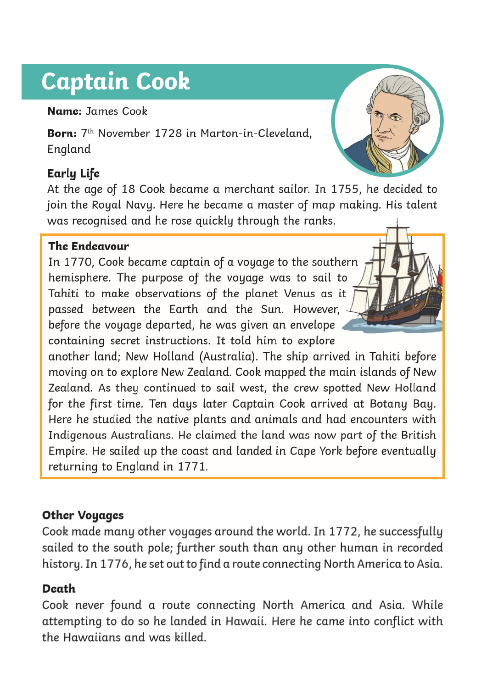# **Captain Cook**

**Name:** James Cook

Born: 7<sup>th</sup> November 1728 in Marton-in-Cleveland, England

### Early Life

At the age of 18 Cook became a merchant sailor. In 1755, he decided to join the Royal Navy. Here he became a master of map making. His talent was recognised and he rose quickly through the ranks.

#### **The Endeavour**

In 1770, Cook became captain of a voyage to the southern hemisphere. The purpose of the voyage was to sail to Tahiti to make observations of the planet Venus as it passed between the Earth and the Sun. However, before the voyage departed, he was given an envelope containing secret instructions. It told him to explore

another land; New Holland (Australia). The ship arrived in Tahiti before moving on to explore New Zealand. Cook mapped the main islands of New Zealand. As they continued to sail west, the crew spotted New Holland for the first time. Ten days later Captain Cook arrived at Botany Bay. Here he studied the native plants and animals and had encounters with Indigenous Australians. He claimed the land was now part of the British Empire. He sailed up the coast and landed in Cape York before eventually returning to England in 1771.

#### **Other Voyages**

Cook made many other voyages around the world. In 1772, he successfully sailed to the south pole; further south than any other human in recorded history. In 1776, he set out to find a route connecting North America to Asia.

#### **Death**

Cook never found a route connecting North America and Asia. While attempting to do so he landed in Hawaii. Here he came into conflict with the Hawaiians and was killed.

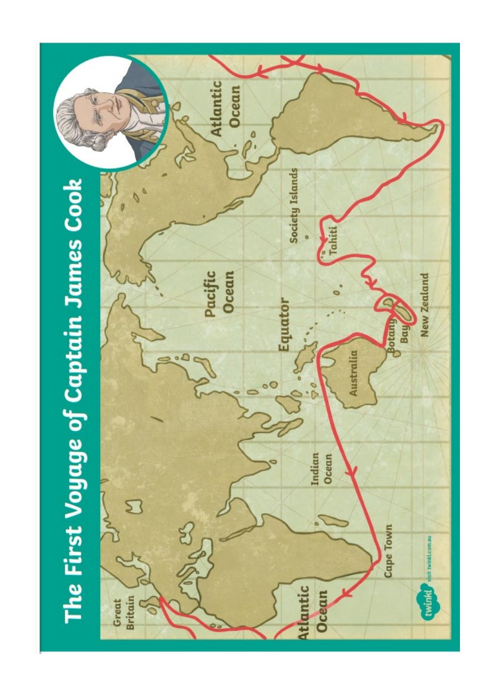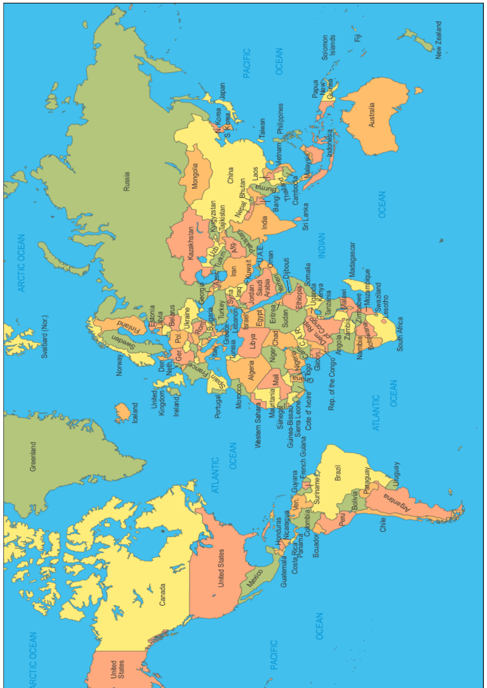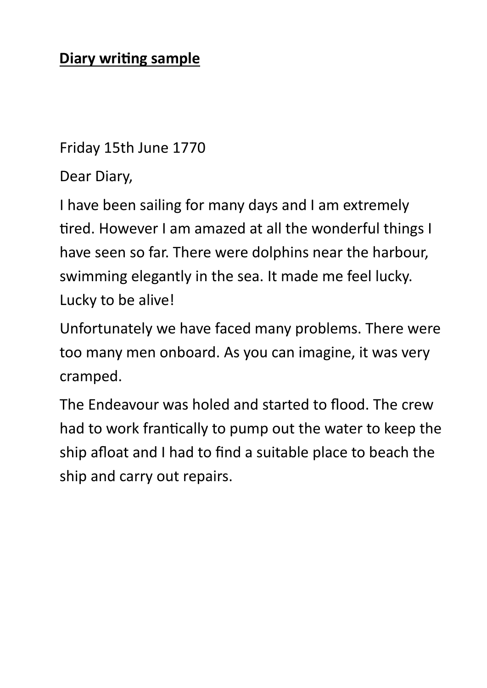## **Diary writing sample**

Friday 15th June 1770

Dear Diary,

I have been sailing for many days and I am extremely tired. However I am amazed at all the wonderful things I have seen so far. There were dolphins near the harbour, swimming elegantly in the sea. It made me feel lucky. Lucky to be alive!

Unfortunately we have faced many problems. There were too many men onboard. As you can imagine, it was very cramped.

The Endeavour was holed and started to flood. The crew had to work frantically to pump out the water to keep the ship afloat and I had to find a suitable place to beach the ship and carry out repairs.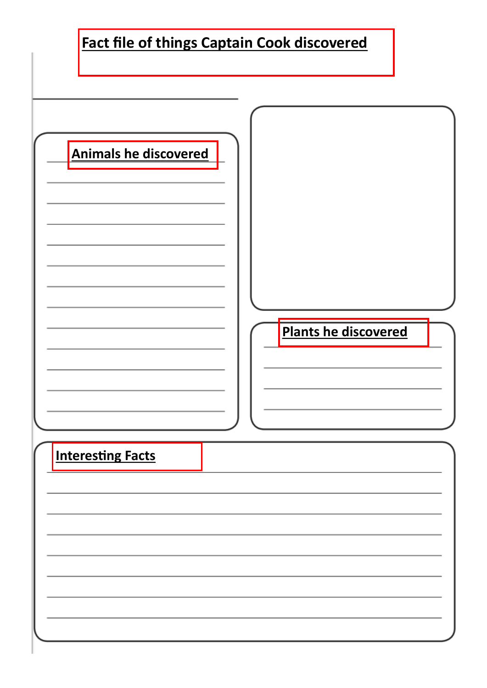